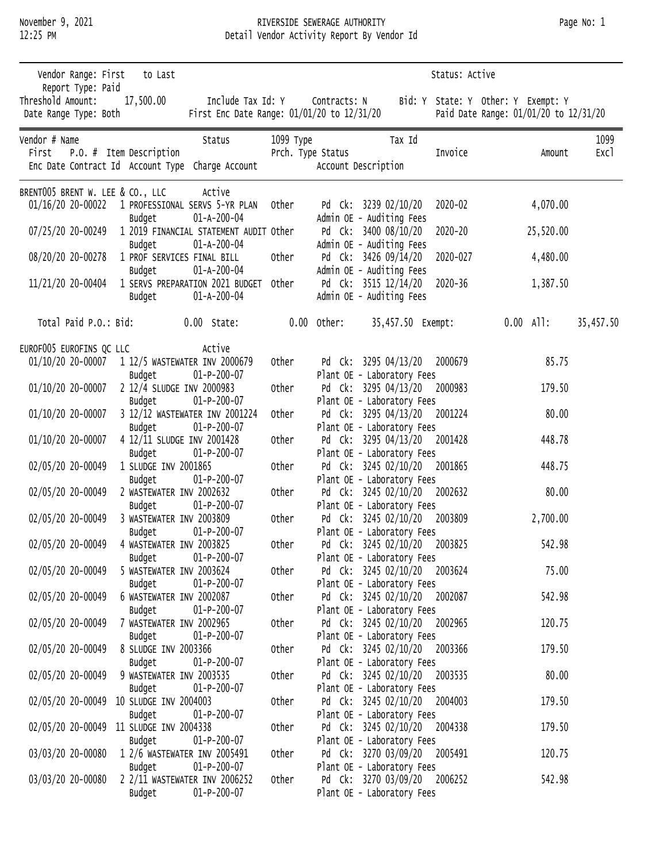Report Type: Paid

November 9, 2021 **RIVERSIDE SEWERAGE AUTHORITY RIVERSIDE SEWERAGE AUTHORITY** 12:25 PM Detail Vendor Activity Report By Vendor Id Vendor Range: First to Last Status: Active Status: Active Threshold Amount: 17,500.00 Include Tax Id: Y Contracts: N Bid: Y State: Y Other: Y Exempt: Y Date Range Type: Both First Enc Date Range: 01/01/20 to 12/31/20 Paid Date Range: 01/01/20 to 12/31/20 vendor # Name Status Status 1099 Type Tax Id 1099 Type Tax Id 1099 Type Tu999 Type Tax Id 1099 Type Tu999 Type First P.O. # Item Description Prch. Type Status Invoice Amount Excl Enc Date Contract Id Account Type Charge Account Account Description BRENT005 BRENT W. LEE & CO., LLC Active 01/16/20 20-00022 1 PROFESSIONAL SERVS 5-YR PLAN Other Pd Ck: 3239 02/10/20 2020-02 4,070.00 Budget 01-A-200-04 Admin OE - Auditing Fees 07/25/20 20-00249 1 2019 FINANCIAL STATEMENT AUDIT Other Pd Ck: 3400 08/10/20 2020-20 25,520.00 Budget 01-A-200-04 Admin OE - Auditing Fees 08/20/20 20-00278 1 PROF SERVICES FINAL BILL Other Pd Ck: 3426 09/14/20 2020-027 4,480.00 Budget 01-A-200-04 Admin OE - Auditing Fees 11/21/20 20-00404 1 SERVS PREPARATION 2021 BUDGET Other Pd Ck: 3515 12/14/20 2020-36 1,387.50 Budget 01-A-200-04 Admin OE - Auditing Fees Total Paid P.O.: Bid: 0.00 State: 0.00 Other: 35,457.50 Exempt: 0.00 All: 35,457.50 EUROF005 EUROFINS QC LLC Active 01/10/20 20-00007 1 12/5 WASTEWATER INV 2000679 Other Pd Ck: 3295 04/13/20 2000679 85.75

| UI/IU/ZU ZU-UUUU/ | L IZ/J WASIEWAIEK INV ZUUUD/Y<br>$01-P-200-07$<br>Budget | orligh | PU CK: $5293 04/13/20 2000079$<br>Plant OE - Laboratory Fees | 03.73    |
|-------------------|----------------------------------------------------------|--------|--------------------------------------------------------------|----------|
| 01/10/20 20-00007 | 2 12/4 SLUDGE INV 2000983                                | Other  | Pd Ck: 3295 04/13/20 2000983                                 | 179.50   |
|                   | $01-P-200-07$<br>Budget                                  |        | Plant OE - Laboratory Fees                                   |          |
| 01/10/20 20-00007 | 3 12/12 WASTEWATER INV 2001224                           | Other  | Pd Ck: 3295 04/13/20 2001224                                 | 80.00    |
|                   | $01-P-200-07$<br>Budget                                  |        | Plant OE - Laboratory Fees                                   |          |
| 01/10/20 20-00007 | 4 12/11 SLUDGE INV 2001428                               | Other  | Pd Ck: 3295 04/13/20 2001428                                 | 448.78   |
|                   | Budget<br>$01-P-200-07$                                  |        | Plant OE - Laboratory Fees                                   |          |
| 02/05/20 20-00049 | 1 SLUDGE INV 2001865                                     | Other  | Pd Ck: 3245 02/10/20 2001865                                 | 448.75   |
|                   | $01-P-200-07$<br>Budget                                  |        | Plant OE - Laboratory Fees                                   |          |
| 02/05/20 20-00049 | 2 WASTEWATER INV 2002632                                 | Other  | Pd Ck: 3245 02/10/20 2002632                                 | 80.00    |
|                   | $01-P-200-07$<br>Budget                                  |        | Plant OE - Laboratory Fees                                   |          |
| 02/05/20 20-00049 | 3 WASTEWATER INV 2003809                                 | Other  | Pd Ck: 3245 02/10/20 2003809                                 | 2,700.00 |
|                   | Budget<br>$01-P-200-07$                                  |        | Plant OE - Laboratory Fees                                   |          |
| 02/05/20 20-00049 | 4 WASTEWATER INV 2003825                                 | Other  | Pd Ck: 3245 02/10/20 2003825                                 | 542.98   |
|                   | $01-P-200-07$<br>Budget                                  |        | Plant OE - Laboratory Fees                                   |          |
| 02/05/20 20-00049 | 5 WASTEWATER INV 2003624                                 | Other  | Pd Ck: 3245 02/10/20 2003624                                 | 75.00    |
|                   | $01-P-200-07$<br>Budget                                  |        | Plant OE - Laboratory Fees                                   |          |
| 02/05/20 20-00049 | 6 WASTEWATER INV 2002087                                 | Other  | Pd Ck: 3245 02/10/20 2002087                                 | 542.98   |
|                   | $01-P-200-07$<br>Budget                                  |        | Plant OE - Laboratory Fees                                   |          |
| 02/05/20 20-00049 | 7 WASTEWATER INV 2002965                                 | Other  | Pd Ck: 3245 02/10/20 2002965                                 | 120.75   |
|                   | $01-P-200-07$<br>Budget                                  |        | Plant OE - Laboratory Fees                                   |          |
| 02/05/20 20-00049 | 8 SLUDGE INV 2003366                                     | Other  | Pd Ck: 3245 02/10/20 2003366                                 | 179.50   |
|                   | $01-P-200-07$<br>Budget                                  |        | Plant OE - Laboratory Fees                                   |          |
| 02/05/20 20-00049 | 9 WASTEWATER INV 2003535                                 | Other  | Pd Ck: 3245 02/10/20 2003535                                 | 80.00    |
|                   | $01-P-200-07$<br>Budget                                  | Other  | Plant OE - Laboratory Fees                                   | 179.50   |
|                   | 02/05/20 20-00049 10 SLUDGE INV 2004003<br>$01-P-200-07$ |        | Pd Ck: 3245 02/10/20 2004003<br>Plant OE - Laboratory Fees   |          |
|                   | Budget<br>02/05/20 20-00049 11 SLUDGE INV 2004338        | Other  | Pd Ck: 3245 02/10/20 2004338                                 | 179.50   |
|                   | $01-P-200-07$<br>Budget                                  |        | Plant OE - Laboratory Fees                                   |          |
| 03/03/20 20-00080 | 1 2/6 WASTEWATER INV 2005491                             | Other  | Pd Ck: 3270 03/09/20 2005491                                 | 120.75   |
|                   | Budget<br>$01-P-200-07$                                  |        | Plant OE - Laboratory Fees                                   |          |
| 03/03/20 20-00080 | 2 2/11 WASTEWATER INV 2006252                            | Other  | Pd Ck: 3270 03/09/20 2006252                                 | 542.98   |
|                   | $01 - P - 200 - 07$<br>Budget                            |        | Plant OE - Laboratory Fees                                   |          |
|                   |                                                          |        |                                                              |          |
|                   |                                                          |        |                                                              |          |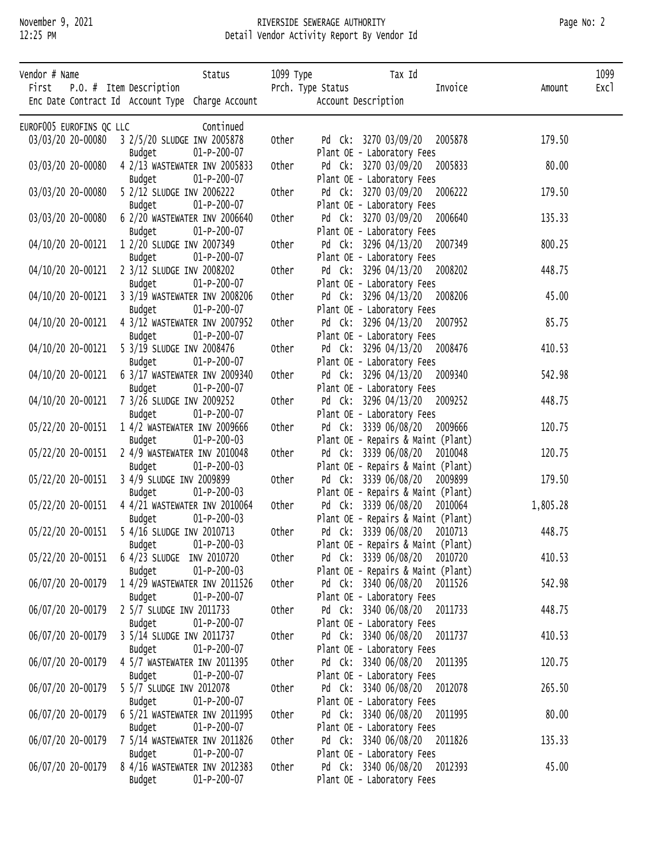### November 9, 2021 RIVERSIDE SEWERAGE AUTHORITY Page No: 2 12:25 PM Detail Vendor Activity Report By Vendor Id

| Vendor # Name            |                   | First $P.0.$ # Item Description                | Status                                            | 1099 Туре | Prch. Type Status   | Tax Id                                                             | Invoice | Amount   | 1099<br>Exc1 |
|--------------------------|-------------------|------------------------------------------------|---------------------------------------------------|-----------|---------------------|--------------------------------------------------------------------|---------|----------|--------------|
|                          |                   |                                                | Enc Date Contract Id Account Type Charge Account  |           | Account Description |                                                                    |         |          |              |
| EUROF005 EUROFINS QC LLC |                   |                                                | Continued                                         |           |                     |                                                                    |         |          |              |
|                          |                   | 03/03/20 20-00080 3 2/5/20 SLUDGE INV 2005878  |                                                   | Other     |                     | Pd Ck: 3270 03/09/20 2005878                                       |         | 179.50   |              |
|                          |                   | Budget                                         | $01-P-200-07$                                     |           |                     | Plant OE - Laboratory Fees                                         |         |          |              |
|                          | 03/03/20 20-00080 |                                                | 4 2/13 WASTEWATER INV 2005833                     | Other     |                     | Pd Ck: 3270 03/09/20 2005833                                       |         | 80.00    |              |
|                          |                   | Budget                                         | $01-P-200-07$                                     |           |                     | Plant OE - Laboratory Fees                                         |         |          |              |
|                          |                   | 03/03/20 20-00080    5 2/12 SLUDGE INV 2006222 |                                                   | Other     |                     | Pd Ck: 3270 03/09/20 2006222                                       |         | 179.50   |              |
|                          |                   | Budget                                         | $01-P-200-07$                                     |           |                     | Plant OE - Laboratory Fees                                         |         |          |              |
|                          | 03/03/20 20-00080 |                                                | 6 2/20 WASTEWATER INV 2006640                     | Other     |                     | Pd Ck: 3270 03/09/20 2006640                                       |         | 135.33   |              |
|                          |                   | Budget                                         | $01-P-200-07$                                     |           |                     | Plant OE - Laboratory Fees                                         |         |          |              |
|                          |                   | 04/10/20 20-00121  1 2/20 SLUDGE INV 2007349   |                                                   | Other     |                     | Pd Ck: 3296 04/13/20 2007349                                       |         | 800.25   |              |
|                          |                   | Budget                                         | $01-P-200-07$                                     |           |                     | Plant OE - Laboratory Fees                                         |         |          |              |
|                          |                   | 04/10/20 20-00121  2 3/12 SLUDGE INV 2008202   |                                                   | Other     |                     | Pd Ck: 3296 04/13/20 2008202                                       |         | 448.75   |              |
|                          |                   | Budget                                         | $01-P-200-07$                                     |           |                     | Plant OE - Laboratory Fees                                         |         |          |              |
|                          |                   |                                                | 04/10/20 20-00121 3 3/19 WASTEWATER INV 2008206   | Other     |                     | Pd Ck: 3296 04/13/20 2008206                                       |         | 45.00    |              |
|                          |                   | Budget                                         | $01-P-200-07$                                     |           |                     | Plant OE - Laboratory Fees                                         |         |          |              |
|                          | 04/10/20 20-00121 |                                                | 4 3/12 WASTEWATER INV 2007952                     | Other     |                     | Pd Ck: 3296 04/13/20 2007952                                       |         | 85.75    |              |
|                          |                   | Budget                                         | $01-P-200-07$                                     |           |                     | Plant OE - Laboratory Fees                                         |         |          |              |
|                          |                   | 04/10/20 20-00121    5 3/19 SLUDGE INV 2008476 |                                                   | Other     |                     | Pd Ck: 3296 04/13/20 2008476                                       |         | 410.53   |              |
|                          |                   | Budget                                         | $01-P-200-07$                                     |           |                     | Plant OE - Laboratory Fees                                         |         |          |              |
|                          |                   |                                                | 04/10/20 20-00121   6 3/17 WASTEWATER INV 2009340 | Other     |                     | Pd Ck: 3296 04/13/20 2009340                                       |         | 542.98   |              |
|                          |                   | Budget                                         | $01-P-200-07$                                     |           |                     | Plant OE - Laboratory Fees                                         |         |          |              |
|                          |                   | 04/10/20 20-00121 7 3/26 SLUDGE INV 2009252    |                                                   | Other     |                     | Pd Ck: 3296 04/13/20 2009252                                       |         | 448.75   |              |
|                          |                   | Budget                                         | $01-P-200-07$                                     |           |                     | Plant OE - Laboratory Fees                                         |         |          |              |
|                          |                   |                                                | 05/22/20 20-00151  1 4/2 WASTEWATER INV 2009666   | Other     |                     | Pd Ck: 3339 06/08/20 2009666                                       |         | 120.75   |              |
|                          |                   | Budget                                         | $01-P-200-03$                                     |           |                     | Plant OE - Repairs & Maint (Plant)                                 |         |          |              |
|                          |                   |                                                | 05/22/20 20-00151 2 4/9 WASTEWATER INV 2010048    | Other     |                     | Pd Ck: 3339 06/08/20 2010048                                       |         | 120.75   |              |
|                          |                   | Budget                                         | $01-P-200-03$                                     |           |                     | Plant OE - Repairs & Maint (Plant)                                 |         |          |              |
|                          |                   | 05/22/20 20-00151 3 4/9 SLUDGE INV 2009899     |                                                   | Other     |                     | Pd Ck: 3339 06/08/20 2009899                                       |         | 179.50   |              |
|                          | 05/22/20 20-00151 | Budget                                         | $01-P-200-03$<br>4 4/21 WASTEWATER INV 2010064    | Other     |                     | Plant OE - Repairs & Maint (Plant)<br>Pd Ck: 3339 06/08/20 2010064 |         | 1,805.28 |              |
|                          |                   | Budget                                         | $01-P-200-03$                                     |           |                     | Plant OE - Repairs & Maint (Plant)                                 |         |          |              |
|                          |                   | 05/22/20 20-00151    5 4/16 SLUDGE INV 2010713 |                                                   | Other     |                     | Pd Ck: 3339 06/08/20 2010713                                       |         | 448.75   |              |
|                          |                   | Budget                                         | $01-P-200-03$                                     |           |                     | Plant OE - Repairs & Maint (Plant)                                 |         |          |              |
|                          | 05/22/20 20-00151 | 6 4/23 SLUDGE INV 2010720                      |                                                   | Other     |                     | Pd Ck: 3339 06/08/20 2010720                                       |         | 410.53   |              |
|                          |                   | Budget                                         | $01-P-200-03$                                     |           |                     | Plant OE - Repairs & Maint (Plant)                                 |         |          |              |
|                          |                   |                                                | 06/07/20 20-00179  1 4/29 WASTEWATER INV 2011526  | Other     |                     | Pd Ck: 3340 06/08/20 2011526                                       |         | 542.98   |              |
|                          |                   | Budget                                         | $01-P-200-07$                                     |           |                     | Plant OE - Laboratory Fees                                         |         |          |              |
|                          | 06/07/20 20-00179 | 2 5/7 SLUDGE INV 2011733                       |                                                   | Other     |                     | Pd Ck: 3340 06/08/20 2011733                                       |         | 448.75   |              |
|                          |                   | Budget                                         | $01-P-200-07$                                     |           |                     | Plant OE - Laboratory Fees                                         |         |          |              |
|                          | 06/07/20 20-00179 | 3 5/14 SLUDGE INV 2011737                      |                                                   | Other     |                     | Pd Ck: 3340 06/08/20 2011737                                       |         | 410.53   |              |
|                          |                   | Budget                                         | $01-P-200-07$                                     |           |                     | Plant OE - Laboratory Fees                                         |         |          |              |
|                          | 06/07/20 20-00179 |                                                | 4 5/7 WASTEWATER INV 2011395                      | Other     |                     | Pd Ck: 3340 06/08/20 2011395                                       |         | 120.75   |              |
|                          |                   | Budget                                         | $01-P-200-07$                                     |           |                     | Plant OE - Laboratory Fees                                         |         |          |              |
|                          | 06/07/20 20-00179 | 5 5/7 SLUDGE INV 2012078                       |                                                   | Other     |                     | Pd Ck: 3340 06/08/20 2012078                                       |         | 265.50   |              |
|                          |                   | Budget                                         | $01-P-200-07$                                     |           |                     | Plant OE - Laboratory Fees                                         |         |          |              |
|                          | 06/07/20 20-00179 |                                                | 6 5/21 WASTEWATER INV 2011995                     | Other     |                     | Pd Ck: 3340 06/08/20 2011995                                       |         | 80.00    |              |
|                          |                   | Budget                                         | $01-P-200-07$                                     |           |                     | Plant OE - Laboratory Fees                                         |         |          |              |
|                          | 06/07/20 20-00179 |                                                | 7 5/14 WASTEWATER INV 2011826                     | Other     |                     | Pd Ck: 3340 06/08/20 2011826                                       |         | 135.33   |              |
|                          |                   | Budget                                         | $01-P-200-07$                                     |           |                     | Plant OE - Laboratory Fees                                         |         |          |              |
|                          | 06/07/20 20-00179 |                                                | 8 4/16 WASTEWATER INV 2012383                     | Other     |                     | Pd Ck: 3340 06/08/20 2012393                                       |         | 45.00    |              |
|                          |                   | Budget                                         | $01-P-200-07$                                     |           |                     | Plant OE - Laboratory Fees                                         |         |          |              |
|                          |                   |                                                |                                                   |           |                     |                                                                    |         |          |              |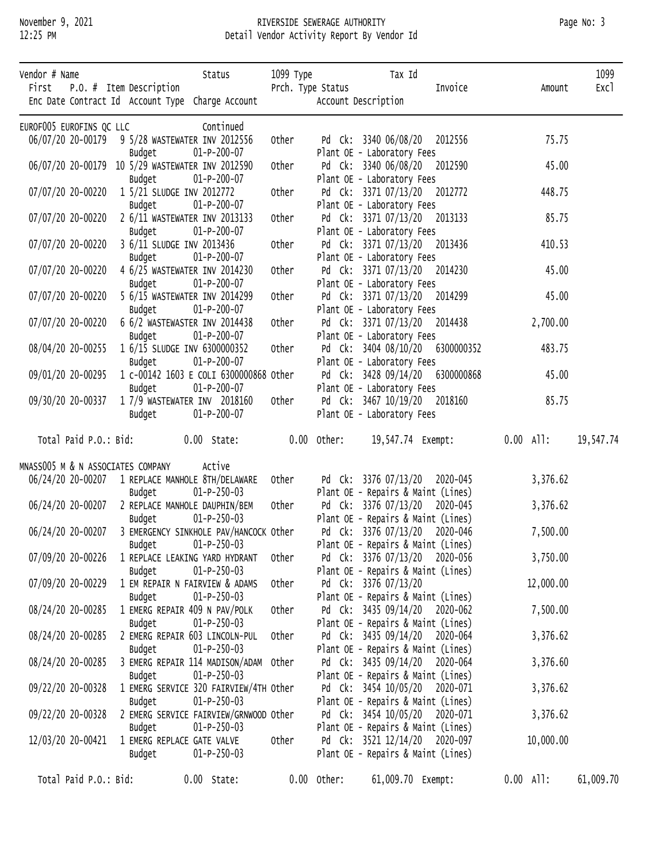# November 9, 2021 **RIVERSIDE SEWERAGE AUTHORITY** Page No: 3<br>12:25 PM **Page No: 3** Detail Vendor Activity Report By Vendor Id Detail Vendor Activity Report By Vendor Id

| Vendor # Name            |                                                  | Status                                                           | 1099 Туре     |               | Tax Id                                                              |         |             | 1099      |
|--------------------------|--------------------------------------------------|------------------------------------------------------------------|---------------|---------------|---------------------------------------------------------------------|---------|-------------|-----------|
|                          | First P.O. # Item Description                    | Enc Date Contract Id Account Type Charge Account                 |               |               | Prch. Type Status<br>Account Description                            | Invoice | Amount      | Exc1      |
|                          |                                                  |                                                                  |               |               |                                                                     |         |             |           |
| EUROF005 EUROFINS QC LLC | 06/07/20 20-00179 9 5/28 WASTEWATER INV 2012556  | Continued                                                        | Other         |               | Pd Ck: 3340 06/08/20 2012556                                        |         | 75.75       |           |
|                          | Budget                                           | $01-P-200-07$                                                    |               |               | Plant OE - Laboratory Fees                                          |         |             |           |
|                          | 06/07/20 20-00179 10 5/29 WASTEWATER INV 2012590 |                                                                  | Other         |               | Pd Ck: 3340 06/08/20 2012590                                        |         | 45.00       |           |
|                          | Budget                                           | $01-P-200-07$                                                    |               |               | Plant OE - Laboratory Fees                                          |         |             |           |
| 07/07/20 20-00220        | 1 5/21 SLUDGE INV 2012772                        |                                                                  | Other         |               | Pd Ck: 3371 07/13/20 2012772                                        |         | 448.75      |           |
|                          | Budget                                           | $01 - P - 200 - 07$                                              |               |               | Plant OE - Laboratory Fees                                          |         |             |           |
| 07/07/20 20-00220        |                                                  | 2 6/11 WASTEWATER INV 2013133                                    | Other         |               | Pd Ck: 3371 07/13/20 2013133                                        |         | 85.75       |           |
|                          | Budget                                           | $01-P-200-07$                                                    |               |               | Plant OE - Laboratory Fees                                          |         |             |           |
| 07/07/20 20-00220        | 3 6/11 SLUDGE INV 2013436                        | 01-P-200-07                                                      | Other         |               | Pd Ck: 3371 07/13/20 2013436                                        |         | 410.53      |           |
| 07/07/20 20-00220        | Budget                                           | 4 6/25 WASTEWATER INV 2014230                                    | Other         |               | Plant OE - Laboratory Fees<br>Pd Ck: 3371 07/13/20 2014230          |         | 45.00       |           |
|                          | Budget                                           | $01-P-200-07$                                                    |               |               | Plant OE - Laboratory Fees                                          |         |             |           |
| 07/07/20 20-00220        |                                                  | 5 6/15 WASTEWATER INV 2014299                                    | Other         |               | Pd Ck: 3371 07/13/20 2014299                                        |         | 45.00       |           |
|                          | Budget                                           | $01-P-200-07$                                                    |               |               | Plant OE - Laboratory Fees                                          |         |             |           |
| 07/07/20 20-00220        |                                                  | 6 6/2 WASTEWASTER INV 2014438                                    | Other         |               | Pd Ck: 3371 07/13/20 2014438                                        |         | 2,700.00    |           |
|                          | Budget                                           | $01 - P - 200 - 07$                                              |               |               | Plant OE - Laboratory Fees                                          |         |             |           |
| 08/04/20 20-00255        |                                                  | 1 6/15 SLUDGE INV 6300000352                                     | Other         |               | Pd Ck: 3404 08/10/20 6300000352                                     |         | 483.75      |           |
|                          | Budget                                           | 01-P-200-07                                                      |               |               | Plant OE - Laboratory Fees                                          |         |             |           |
| 09/01/20 20-00295        |                                                  | 1 c-00142 1603 E COLI 6300000868 Other                           |               |               | Pd Ck: 3428 09/14/20 6300000868                                     |         | 45.00       |           |
|                          | Budget                                           | 01-P-200-07<br>1 7/9 WASTEWATER INV  2018160     Other           |               |               | Plant OE - Laboratory Fees<br>Pd Ck: 3467 10/19/20 2018160          |         | 85.75       |           |
| 09/30/20 20-00337        | Budget                                           | 01-P-200-07                                                      |               |               | Plant OE - Laboratory Fees                                          |         |             |           |
|                          |                                                  |                                                                  |               |               |                                                                     |         |             |           |
|                          | Total Paid P.O.: Bid: 0.00 State:                |                                                                  | $0.00$ Other: |               |                                                                     |         | 0.00 All:   | 19,547.74 |
|                          |                                                  |                                                                  |               |               |                                                                     |         |             |           |
|                          | MNASS005 M & N ASSOCIATES COMPANY                | Active<br>06/24/20 20-00207 1 REPLACE MANHOLE 8TH/DELAWARE Other |               |               | Pd Ck: 3376 07/13/20 2020-045                                       |         | 3,376.62    |           |
|                          | Budget                                           | $01-P-250-03$                                                    |               |               | Plant OE - Repairs & Maint (Lines)                                  |         |             |           |
| 06/24/20 20-00207        |                                                  | 2 REPLACE MANHOLE DAUPHIN/BEM Other                              |               |               | Pd Ck: 3376 07/13/20 2020-045                                       |         | 3,376.62    |           |
|                          | Budget                                           | $01-P-250-03$                                                    |               |               | Plant OE - Repairs & Maint (Lines)                                  |         |             |           |
|                          |                                                  | 06/24/20 20-00207 3 EMERGENCY SINKHOLE PAV/HANCOCK Other         |               |               | Pd Ck: 3376 07/13/20 2020-046                                       |         | 7,500.00    |           |
|                          | Budget                                           | $01-P-250-03$                                                    |               |               | Plant OE - Repairs & Maint (Lines)                                  |         |             |           |
| 07/09/20 20-00226        |                                                  | 1 REPLACE LEAKING YARD HYDRANT                                   | Other         |               | Pd Ck: 3376 07/13/20 2020-056                                       |         | 3,750.00    |           |
|                          | Budget                                           | $01-P-250-03$                                                    |               |               | Plant OE - Repairs & Maint (Lines)                                  |         |             |           |
| 07/09/20 20-00229        |                                                  | 1 EM REPAIR N FAIRVIEW & ADAMS                                   | Other         |               | Pd Ck: 3376 07/13/20                                                |         | 12,000.00   |           |
|                          | Budget                                           | $01-P-250-03$                                                    |               |               | Plant OE - Repairs & Maint (Lines)                                  |         |             |           |
| 08/24/20 20-00285        | Budget                                           | 1 EMERG REPAIR 409 N PAV/POLK<br>$01-P-250-03$                   | Other         |               | Pd Ck: 3435 09/14/20 2020-062<br>Plant OE - Repairs & Maint (Lines) |         | 7,500.00    |           |
| 08/24/20 20-00285        |                                                  | 2 EMERG REPAIR 603 LINCOLN-PUL                                   | Other         |               | Pd Ck: 3435 09/14/20 2020-064                                       |         | 3,376.62    |           |
|                          | Budget                                           | $01-P-250-03$                                                    |               |               | Plant OE - Repairs & Maint (Lines)                                  |         |             |           |
| 08/24/20 20-00285        |                                                  | 3 EMERG REPAIR 114 MADISON/ADAM Other                            |               |               | Pd Ck: 3435 09/14/20 2020-064                                       |         | 3,376.60    |           |
|                          | Budget                                           | $01-P-250-03$                                                    |               |               | Plant OE - Repairs & Maint (Lines)                                  |         |             |           |
| 09/22/20 20-00328        |                                                  | 1 EMERG SERVICE 320 FAIRVIEW/4TH Other                           |               |               | Pd Ck: 3454 10/05/20 2020-071                                       |         | 3,376.62    |           |
|                          | Budget                                           | $01-P-250-03$                                                    |               |               | Plant OE - Repairs & Maint (Lines)                                  |         |             |           |
| 09/22/20 20-00328        |                                                  | 2 EMERG SERVICE FAIRVIEW/GRNWOOD Other                           |               |               | Pd Ck: 3454 10/05/20 2020-071                                       |         | 3,376.62    |           |
|                          | Budget                                           | $01-P-250-03$                                                    |               |               | Plant OE - Repairs & Maint (Lines)                                  |         |             |           |
| 12/03/20 20-00421        | 1 EMERG REPLACE GATE VALVE                       |                                                                  | Other         |               | Pd Ck: 3521 12/14/20 2020-097                                       |         | 10,000.00   |           |
|                          | Budget                                           | $01-P-250-03$                                                    |               |               | Plant OE - Repairs & Maint (Lines)                                  |         |             |           |
| Total Paid P.O.: Bid:    |                                                  | $0.00$ State:                                                    |               | $0.00$ Other: | 61,009.70 Exempt:                                                   |         | $0.00$ All: | 61,009.70 |
|                          |                                                  |                                                                  |               |               |                                                                     |         |             |           |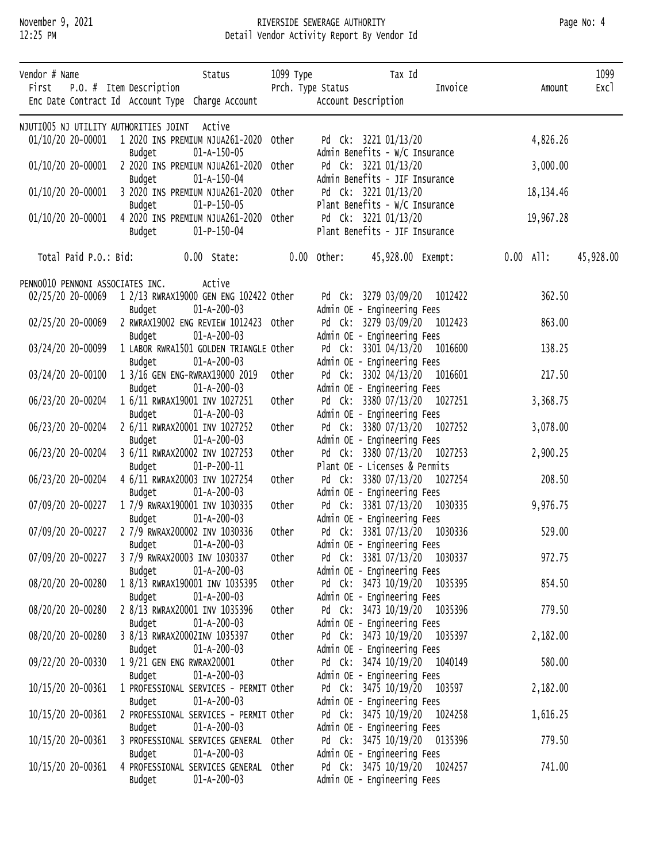#### November 9, 2021 RIVERSIDE SEWERAGE AUTHORITY Page No: 4 12:25 PM Detail Vendor Activity Report By Vendor Id

| Vendor # Name |                   | First P.O. # Item Description                    | Status                                                                 | 1099 туре           | Tax Id<br>Prch. Type Status                                 | Invoice | Amount                      | 1099<br>Exc1 |
|---------------|-------------------|--------------------------------------------------|------------------------------------------------------------------------|---------------------|-------------------------------------------------------------|---------|-----------------------------|--------------|
|               |                   | Enc Date Contract Id Account Type Charge Account |                                                                        | Account Description |                                                             |         |                             |              |
|               |                   | NJUTIOO5 NJ UTILITY AUTHORITIES JOINT            | Active                                                                 |                     |                                                             |         |                             |              |
|               |                   |                                                  | 01/10/20 20-00001  1 2020 INS PREMIUM NJUA261-2020 Other               |                     | Pd Ck: 3221 01/13/20                                        |         | 4,826.26                    |              |
|               |                   | Budget                                           | $01 - A - 150 - 05$                                                    |                     | Admin Benefits - W/C Insurance                              |         |                             |              |
|               | 01/10/20 20-00001 |                                                  | 2 2020 INS PREMIUM NJUA261-2020 Other                                  |                     | Pd Ck: 3221 01/13/20                                        |         | 3,000.00                    |              |
|               |                   | Budget                                           | 01-A-150-04                                                            |                     | Admin Benefits - JIF Insurance                              |         |                             |              |
|               | 01/10/20 20-00001 | Budget                                           | 3 2020 INS PREMIUM NJUA261-2020 Other<br>$01 - P - 150 - 05$           |                     | Pd Ck: 3221 01/13/20<br>Plant Benefits - W/C Insurance      |         | 18, 134.46                  |              |
|               | 01/10/20 20-00001 |                                                  | 4 2020 INS PREMIUM NJUA261-2020 Other                                  |                     | Pd Ck: 3221 01/13/20                                        |         | 19,967.28                   |              |
|               |                   | Budget                                           | 01-P-150-04                                                            |                     | Plant Benefits - JIF Insurance                              |         |                             |              |
|               |                   |                                                  | Total Paid P.O.: Bid: 0.00 State:                                      | $0.00$ Other:       |                                                             |         | 45,928.00 Exempt: 0.00 All: | 45,928.00    |
|               |                   | PENNO010 PENNONI ASSOCIATES INC.                 | Active                                                                 |                     |                                                             |         |                             |              |
|               |                   |                                                  | 02/25/20 20-00069  1 2/13 RWRAX19000 GEN ENG 102422 Other              |                     | Pd Ck: 3279 03/09/20 1012422                                |         | 362.50                      |              |
|               |                   | Budget                                           | $01 - A - 200 - 03$                                                    |                     | Admin OE - Engineering Fees                                 |         |                             |              |
|               | 02/25/20 20-00069 |                                                  | 2 RWRAX19002 ENG REVIEW 1012423 Other                                  |                     | Pd Ck: 3279 03/09/20 1012423                                |         | 863.00                      |              |
|               |                   | Budget                                           | $01 - A - 200 - 03$                                                    |                     | Admin OE - Engineering Fees                                 |         |                             |              |
|               | 03/24/20 20-00099 |                                                  | 1 LABOR RWRA1501 GOLDEN TRIANGLE Other                                 |                     | Pd Ck: 3301 04/13/20 1016600                                |         | 138.25                      |              |
|               | 03/24/20 20-00100 | Budget                                           | $01 - A - 200 - 03$<br>1 3/16 GEN ENG-RWRAX19000 2019                  | Other               | Admin OE - Engineering Fees<br>Pd Ck: 3302 04/13/20 1016601 |         | 217.50                      |              |
|               |                   | Budget                                           | $01 - A - 200 - 03$                                                    |                     | Admin OE - Engineering Fees                                 |         |                             |              |
|               | 06/23/20 20-00204 |                                                  | 1 6/11 RWRAX19001 INV 1027251                                          | Other               | Pd Ck: 3380 07/13/20 1027251                                |         | 3,368.75                    |              |
|               |                   | Budget                                           | $01 - A - 200 - 03$                                                    |                     | Admin OE - Engineering Fees                                 |         |                             |              |
|               | 06/23/20 20-00204 |                                                  | 2 6/11 RWRAX20001 INV 1027252                                          | Other               | Pd Ck: 3380 07/13/20 1027252                                |         | 3,078.00                    |              |
|               | 06/23/20 20-00204 | Budget                                           | $01 - A - 200 - 03$<br>3 6/11 RWRAX20002 INV 1027253                   | Other               | Admin OE - Engineering Fees<br>Pd Ck: 3380 07/13/20 1027253 |         | 2,900.25                    |              |
|               |                   | Budget                                           | $01-P-200-11$                                                          |                     | Plant OE - Licenses & Permits                               |         |                             |              |
|               | 06/23/20 20-00204 |                                                  | 4 6/11 RWRAX20003 INV 1027254                                          | Other               | Pd Ck: 3380 07/13/20 1027254                                |         | 208.50                      |              |
|               |                   | Budget                                           | $01 - A - 200 - 03$                                                    |                     | Admin OE - Engineering Fees                                 |         |                             |              |
|               | 07/09/20 20-00227 |                                                  | 1 7/9 RWRAX190001 INV 1030335                                          | Other               | Pd Ck: 3381 07/13/20 1030335                                |         | 9,976.75                    |              |
|               |                   | Budget                                           | $01 - A - 200 - 03$                                                    |                     | Admin OE - Engineering Fees                                 |         |                             |              |
|               |                   | Budget                                           | 07/09/20 20-00227 2 7/9 RWRAX200002 INV 1030336<br>$01 - A - 200 - 03$ | Other               | Pd Ck: 3381 07/13/20 1030336<br>Admin OE - Engineering Fees |         | 529.00                      |              |
|               | 07/09/20 20-00227 |                                                  | 3 7/9 RWRAX20003 INV 1030337                                           | Other               | Pd Ck: 3381 07/13/20 1030337                                |         | 972.75                      |              |
|               |                   | Budget                                           | $01 - A - 200 - 03$                                                    |                     | Admin OE - Engineering Fees                                 |         |                             |              |
|               | 08/20/20 20-00280 |                                                  | 1 8/13 RWRAX190001 INV 1035395                                         | Other               | Pd Ck: 3473 10/19/20 1035395                                |         | 854.50                      |              |
|               |                   | Budget                                           | $01 - A - 200 - 03$                                                    |                     | Admin OE - Engineering Fees                                 |         |                             |              |
|               | 08/20/20 20-00280 |                                                  | 2 8/13 RWRAX20001 INV 1035396<br>$01 - A - 200 - 03$                   | Other               | Pd Ck: 3473 10/19/20 1035396                                |         | 779.50                      |              |
|               | 08/20/20 20-00280 | Budget                                           | 3 8/13 RWRAX20002INV 1035397                                           | Other               | Admin OE - Engineering Fees<br>Pd Ck: 3473 10/19/20 1035397 |         | 2,182.00                    |              |
|               |                   | Budget                                           | $01 - A - 200 - 03$                                                    |                     | Admin OE - Engineering Fees                                 |         |                             |              |
|               | 09/22/20 20-00330 |                                                  | 1 9/21 GEN ENG RWRAX20001                                              | Other               | Pd Ck: 3474 10/19/20 1040149                                |         | 580.00                      |              |
|               |                   | Budget                                           | 01-A-200-03                                                            |                     | Admin OE - Engineering Fees                                 |         |                             |              |
|               | 10/15/20 20-00361 |                                                  | 1 PROFESSIONAL SERVICES - PERMIT Other                                 |                     | Pd Ck: 3475 10/19/20 103597                                 |         | 2,182.00                    |              |
|               |                   | Budget                                           | $01 - A - 200 - 03$                                                    |                     | Admin OE - Engineering Fees                                 |         |                             |              |
|               | 10/15/20 20-00361 | Budget                                           | 2 PROFESSIONAL SERVICES - PERMIT Other<br>$01 - A - 200 - 03$          |                     | Pd Ck: 3475 10/19/20 1024258<br>Admin OE - Engineering Fees |         | 1,616.25                    |              |
|               | 10/15/20 20-00361 |                                                  | 3 PROFESSIONAL SERVICES GENERAL Other                                  |                     | Pd Ck: 3475 10/19/20 0135396                                |         | 779.50                      |              |
|               |                   | Budget                                           | $01 - A - 200 - 03$                                                    |                     | Admin OE - Engineering Fees                                 |         |                             |              |
|               | 10/15/20 20-00361 |                                                  | 4 PROFESSIONAL SERVICES GENERAL Other                                  |                     | Pd Ck: 3475 10/19/20 1024257                                |         | 741.00                      |              |
|               |                   | Budget                                           | $01 - A - 200 - 03$                                                    |                     | Admin OE - Engineering Fees                                 |         |                             |              |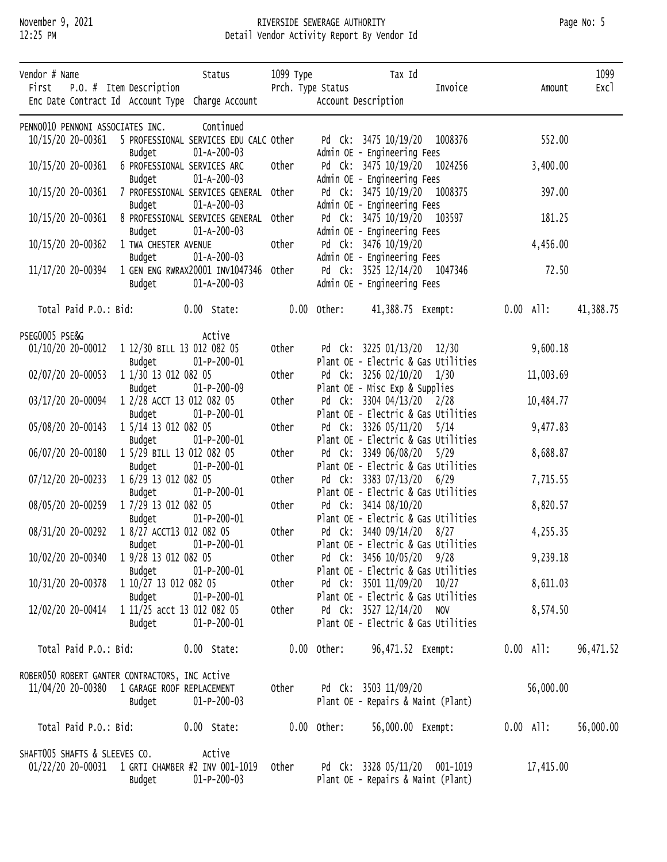#### November 9, 2021 RIVERSIDE SEWERAGE AUTHORITY Page No: 5 12:25 PM Detail Vendor Activity Report By Vendor Id

| Vendor # Name  |                       |                                                        | Status                                                       | 1099 Туре   |               | Tax Id                                                           |                              |                             | 1099      |
|----------------|-----------------------|--------------------------------------------------------|--------------------------------------------------------------|-------------|---------------|------------------------------------------------------------------|------------------------------|-----------------------------|-----------|
|                |                       | First P.O. # Item Description                          | Enc Date Contract Id Account Type Charge Account             |             |               | Prch. Type Status<br>Account Description                         | Invoice                      | Amount                      | Exc1      |
|                |                       | PENNO010 PENNONI ASSOCIATES INC.                       | Continued                                                    |             |               |                                                                  |                              |                             |           |
|                |                       |                                                        | 10/15/20 20-00361 5 PROFESSIONAL SERVICES EDU CALC Other     |             |               | Pd Ck: 3475 10/19/20 1008376                                     |                              | 552.00                      |           |
|                |                       | Budget                                                 | $01 - A - 200 - 03$                                          |             |               | Admin OE - Engineering Fees                                      |                              |                             |           |
|                | 10/15/20 20-00361     |                                                        | 6 PROFESSIONAL SERVICES ARC                                  | Other       |               | Pd Ck: 3475 10/19/20 1024256                                     |                              | 3,400.00                    |           |
|                |                       | Budget                                                 | 01-A-200-03                                                  |             |               | Admin OE - Engineering Fees                                      |                              |                             |           |
|                | 10/15/20 20-00361     |                                                        | 7 PROFESSIONAL SERVICES GENERAL Other                        |             |               | Pd Ck: 3475 10/19/20 1008375                                     |                              | 397.00                      |           |
|                | 10/15/20 20-00361     | Budget                                                 | $01 - A - 200 - 03$<br>8 PROFESSIONAL SERVICES GENERAL Other |             |               | Admin OE - Engineering Fees<br>Pd Ck: 3475 10/19/20 103597       |                              | 181.25                      |           |
|                |                       | Budget                                                 | $01 - A - 200 - 03$                                          |             |               | Admin OE - Engineering Fees                                      |                              |                             |           |
|                | 10/15/20 20-00362     | 1 TWA CHESTER AVENUE                                   |                                                              | Other       |               | Pd Ck: 3476 10/19/20                                             |                              | 4,456.00                    |           |
|                |                       | Budget                                                 | $01 - A - 200 - 03$                                          |             |               | Admin OE - Engineering Fees                                      |                              |                             |           |
|                | 11/17/20 20-00394     |                                                        | 1 GEN ENG RWRAX20001 INV1047346 Other                        |             |               |                                                                  | Pd Ck: 3525 12/14/20 1047346 | 72.50                       |           |
|                |                       | Budget                                                 | $01 - A - 200 - 03$                                          |             |               | Admin OE - Engineering Fees                                      |                              |                             |           |
|                |                       |                                                        | Total Paid P.O.: Bid: 0.00 State:                            | 0.00 Other: |               |                                                                  |                              | 41,388.75 Exempt: 0.00 All: | 41,388.75 |
|                |                       |                                                        |                                                              |             |               |                                                                  |                              |                             |           |
| PSEG0005 PSE&G |                       |                                                        | Active                                                       |             |               | Pd Ck: 3225 01/13/20 12/30                                       |                              |                             |           |
|                |                       | 01/10/20 20-00012 1 12/30 BILL 13 012 082 05<br>Budget | $01 - P - 200 - 01$                                          | Other       |               | Plant OE - Electric & Gas Utilities                              |                              | 9,600.18                    |           |
|                | 02/07/20 20-00053     | 1 1/30 13 012 082 05                                   |                                                              | Other       |               | Pd Ck: 3256 02/10/20 1/30                                        |                              | 11,003.69                   |           |
|                |                       | Budget                                                 | $01 - P - 200 - 09$                                          |             |               | Plant OE - Misc Exp & Supplies                                   |                              |                             |           |
|                | 03/17/20 20-00094     |                                                        | 1 2/28 ACCT 13 012 082 05                                    | Other       |               | Pd Ck: 3304 04/13/20 2/28                                        |                              | 10,484.77                   |           |
|                |                       | Budget                                                 | $01-P-200-01$                                                |             |               | Plant OE - Electric & Gas Utilities                              |                              |                             |           |
|                | 05/08/20 20-00143     | 1 5/14 13 012 082 05                                   |                                                              | Other       |               | Pd Ck: 3326 05/11/20 5/14                                        |                              | 9,477.83                    |           |
|                |                       | Budget                                                 | $01-P-200-01$                                                |             |               | Plant OE - Electric & Gas Utilities                              |                              |                             |           |
|                | 06/07/20 20-00180     | Budget                                                 | 1 5/29 BILL 13 012 082 05<br>$01-P-200-01$                   | Other       |               | Pd Ck: 3349 06/08/20 5/29<br>Plant OE - Electric & Gas Utilities |                              | 8,688.87                    |           |
|                | 07/12/20 20-00233     | 1 6/29 13 012 082 05                                   |                                                              | Other       |               | Pd Ck: 3383 07/13/20 6/29                                        |                              | 7,715.55                    |           |
|                |                       | Budget                                                 | $01-P-200-01$                                                |             |               | Plant OE - Electric & Gas Utilities                              |                              |                             |           |
|                | 08/05/20 20-00259     | 1 7/29 13 012 082 05                                   |                                                              | Other       |               | Pd Ck: 3414 08/10/20                                             |                              | 8,820.57                    |           |
|                |                       | Budget                                                 | $01-P-200-01$                                                |             |               | Plant OE - Electric & Gas Utilities                              |                              |                             |           |
|                |                       | 08/31/20 20-00292  1 8/27 ACCT13 012 082 05            |                                                              | Other       |               | Pd Ck: 3440 09/14/20 8/27                                        |                              | 4,255.35                    |           |
|                |                       | Budget                                                 | $01-P-200-01$                                                |             |               | Plant OE - Electric & Gas Utilities                              |                              |                             |           |
|                | 10/02/20 20-00340     | 1 9/28 13 012 082 05<br>Budget                         | $01-P-200-01$                                                | Other       |               | Pd Ck: 3456 10/05/20 9/28<br>Plant OE - Electric & Gas Utilities |                              | 9,239.18                    |           |
|                | 10/31/20 20-00378     | 1 10/27 13 012 082 05                                  |                                                              | Other       |               | Pd Ck: 3501 11/09/20 10/27                                       |                              | 8,611.03                    |           |
|                |                       | Budget                                                 | $01-P-200-01$                                                |             |               | Plant OE - Electric & Gas Utilities                              |                              |                             |           |
|                | 12/02/20 20-00414     |                                                        | 1 11/25 acct 13 012 082 05                                   | Other       |               | Pd Ck: 3527 12/14/20 NOV                                         |                              | 8,574.50                    |           |
|                |                       | Budget                                                 | $01-P-200-01$                                                |             |               | Plant OE - Electric & Gas Utilities                              |                              |                             |           |
|                | Total Paid P.O.: Bid: |                                                        | $0.00$ State:                                                |             | $0.00$ Other: | 96,471.52 Exempt:                                                |                              | $0.00$ All:                 | 96,471.52 |
|                |                       | ROBER050 ROBERT GANTER CONTRACTORS, INC Active         |                                                              |             |               |                                                                  |                              |                             |           |
|                |                       | 11/04/20 20-00380  1 GARAGE ROOF REPLACEMENT           |                                                              | Other       |               | Pd Ck: 3503 11/09/20                                             |                              | 56,000.00                   |           |
|                |                       | Budget                                                 | $01-P-200-03$                                                |             |               | Plant OE - Repairs & Maint (Plant)                               |                              |                             |           |
|                |                       |                                                        |                                                              |             |               |                                                                  |                              |                             |           |
|                | Total Paid P.O.: Bid: |                                                        | $0.00$ State:                                                |             | $0.00$ Other: | 56,000.00 Exempt:                                                |                              | $0.00$ All:                 | 56,000.00 |
|                |                       | SHAFT005 SHAFTS & SLEEVES CO.                          | Active                                                       |             |               |                                                                  |                              |                             |           |
|                |                       |                                                        | 01/22/20 20-00031 1 GRTI CHAMBER #2 INV 001-1019             | Other       |               | Pd Ck: 3328 05/11/20 001-1019                                    |                              | 17,415.00                   |           |
|                |                       | Budget                                                 | $01-P-200-03$                                                |             |               | Plant OE - Repairs & Maint (Plant)                               |                              |                             |           |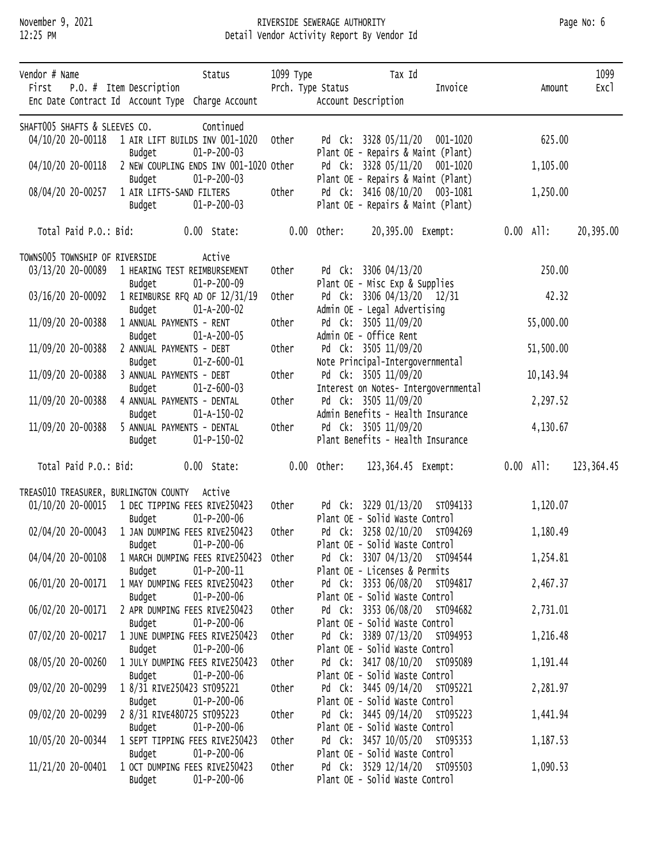### November 9, 2021 RIVERSIDE SEWERAGE AUTHORITY Page No: 6 12:25 PM Detail Vendor Activity Report By Vendor Id

| Vendor # Name<br>First P.O. # Item Description |                       |                                    | Status                                            | 1099 Туре<br>Prch. Type Status |                                |                      | Tax Id | Invoice                                                             |             |             | 1099<br>Exc1 |
|------------------------------------------------|-----------------------|------------------------------------|---------------------------------------------------|--------------------------------|--------------------------------|----------------------|--------|---------------------------------------------------------------------|-------------|-------------|--------------|
|                                                |                       |                                    | Enc Date Contract Id Account Type Charge Account  |                                | Account Description            |                      |        |                                                                     |             | Amount      |              |
| SHAFT005 SHAFTS & SLEEVES CO.                  |                       |                                    | Continued                                         |                                |                                |                      |        |                                                                     |             |             |              |
|                                                |                       |                                    | 04/10/20 20-00118  1 AIR LIFT BUILDS INV 001-1020 | Other                          |                                |                      |        | Pd Ck: 3328 05/11/20 001-1020                                       |             | 625.00      |              |
|                                                |                       | Budget                             | $01-P-200-03$                                     |                                |                                |                      |        | Plant OE - Repairs & Maint (Plant)                                  |             |             |              |
| 04/10/20 20-00118                              |                       |                                    | 2 NEW COUPLING ENDS INV 001-1020 Other            |                                |                                |                      |        | Pd Ck: 3328 05/11/20 001-1020                                       |             | 1,105.00    |              |
|                                                |                       | Budget<br>1 AIR LIFTS-SAND FILTERS | $01-P-200-03$                                     | Other                          |                                |                      |        | Plant OE - Repairs & Maint (Plant)<br>Pd Ck: 3416 08/10/20 003-1081 |             |             |              |
| 08/04/20 20-00257                              |                       | Budget                             | $01-P-200-03$                                     |                                |                                |                      |        | Plant OE - Repairs & Maint (Plant)                                  |             | 1,250.00    |              |
|                                                |                       |                                    |                                                   |                                |                                |                      |        |                                                                     |             |             |              |
|                                                | Total Paid P.O.: Bid: |                                    | $0.00$ State:                                     |                                | $0.00$ Other:                  |                      |        | 20,395.00 Exempt:                                                   | $0.00$ All: |             | 20,395.00    |
| TOWNS005 TOWNSHIP OF RIVERSIDE                 |                       |                                    | Active                                            |                                |                                |                      |        |                                                                     |             |             |              |
| 03/13/20 20-00089                              |                       |                                    | 1 HEARING TEST REIMBURSEMENT                      | Other                          |                                | Pd Ck: 3306 04/13/20 |        |                                                                     |             | 250.00      |              |
|                                                |                       | Budget                             | $01-P-200-09$                                     |                                | Plant OE - Misc Exp & Supplies |                      |        |                                                                     |             |             |              |
| 03/16/20 20-00092                              |                       |                                    | 1 REIMBURSE RFQ AD OF 12/31/19                    | Other                          |                                |                      |        | Pd Ck: 3306 04/13/20 12/31                                          |             | 42.32       |              |
| 11/09/20 20-00388                              |                       | Budget<br>1 ANNUAL PAYMENTS - RENT | $01 - A - 200 - 02$                               | Other                          | Admin OE - Legal Advertising   | Pd Ck: 3505 11/09/20 |        |                                                                     |             | 55,000.00   |              |
|                                                |                       | Budget                             | $01 - A - 200 - 05$                               |                                | Admin OE - Office Rent         |                      |        |                                                                     |             |             |              |
| 11/09/20 20-00388                              |                       | 2 ANNUAL PAYMENTS - DEBT           |                                                   | Other                          |                                | Pd Ck: 3505 11/09/20 |        |                                                                     |             | 51,500.00   |              |
|                                                |                       | Budget                             | $01 - Z - 600 - 01$                               |                                |                                |                      |        | Note Principal-Intergovernmental                                    |             |             |              |
| 11/09/20 20-00388                              |                       | 3 ANNUAL PAYMENTS - DEBT           |                                                   | Other                          |                                | Pd Ck: 3505 11/09/20 |        |                                                                     |             | 10, 143. 94 |              |
|                                                |                       | Budget                             | $01 - Z - 600 - 03$                               |                                |                                |                      |        | Interest on Notes- Intergovernmental                                |             |             |              |
| 11/09/20 20-00388                              |                       |                                    | 4 ANNUAL PAYMENTS - DENTAL                        | Other                          |                                | Pd Ck: 3505 11/09/20 |        | Admin Benefits - Health Insurance                                   |             | 2,297.52    |              |
| 11/09/20 20-00388                              |                       | Budget                             | $01 - A - 150 - 02$<br>5 ANNUAL PAYMENTS - DENTAL | Other                          |                                | Pd Ck: 3505 11/09/20 |        |                                                                     |             | 4,130.67    |              |
|                                                |                       | Budget                             | $01-P-150-02$                                     |                                |                                |                      |        | Plant Benefits - Health Insurance                                   |             |             |              |
|                                                |                       |                                    |                                                   |                                |                                |                      |        |                                                                     |             |             |              |
|                                                | Total Paid P.O.: Bid: |                                    | $0.00$ State:                                     |                                | $0.00$ Other:                  |                      |        | 123,364.45 Exempt:                                                  | $0.00$ All: |             | 123,364.45   |
| TREASO10 TREASURER, BURLINGTON COUNTY Active   |                       |                                    |                                                   |                                |                                |                      |        |                                                                     |             |             |              |
|                                                |                       |                                    | 01/10/20 20-00015 1 DEC TIPPING FEES RIVE250423   | Other                          |                                |                      |        | Pd Ck: 3229 01/13/20 ST094133                                       |             | 1,120.07    |              |
|                                                |                       | Budget                             | $01-P-200-06$                                     |                                | Plant OE - Solid Waste Control |                      |        |                                                                     |             |             |              |
| 02/04/20 20-00043                              |                       |                                    | 1 JAN DUMPING FEES RIVE250423                     | Other                          |                                |                      |        | Pd Ck: 3258 02/10/20 ST094269                                       |             | 1,180.49    |              |
|                                                |                       | Budget                             | $01-P-200-06$                                     |                                | Plant OE - Solid Waste Control |                      |        |                                                                     |             |             |              |
| 04/04/20 20-00108                              |                       |                                    | 1 MARCH DUMPING FEES RIVE250423 Other             |                                |                                |                      |        | Pd Ck: 3307 04/13/20 ST094544                                       |             | 1,254.81    |              |
| 06/01/20 20-00171                              |                       | Budget                             | $01-P-200-11$<br>1 MAY DUMPING FEES RIVE250423    | Other                          | Plant OE - Licenses & Permits  |                      |        | Pd Ck: 3353 06/08/20 ST094817                                       |             | 2,467.37    |              |
|                                                |                       | Budget                             | $01-P-200-06$                                     |                                | Plant OE - Solid Waste Control |                      |        |                                                                     |             |             |              |
| 06/02/20 20-00171                              |                       |                                    | 2 APR DUMPING FEES RIVE250423                     | Other                          |                                |                      |        | Pd Ck: 3353 06/08/20 ST094682                                       |             | 2,731.01    |              |
|                                                |                       | Budget                             | $01-P-200-06$                                     |                                | Plant OE - Solid Waste Control |                      |        |                                                                     |             |             |              |
| 07/02/20 20-00217                              |                       |                                    | 1 JUNE DUMPING FEES RIVE250423                    | Other                          |                                |                      |        | Pd Ck: 3389 07/13/20 ST094953                                       |             | 1,216.48    |              |
|                                                |                       | Budget                             | $01-P-200-06$                                     |                                | Plant OE - Solid Waste Control |                      |        |                                                                     |             |             |              |
| 08/05/20 20-00260                              |                       |                                    | 1 JULY DUMPING FEES RIVE250423                    | Other                          |                                |                      |        | Pd Ck: 3417 08/10/20 ST095089                                       |             | 1,191.44    |              |
| 09/02/20 20-00299                              |                       | Budget                             | $01-P-200-06$<br>1 8/31 RIVE250423 ST095221       | Other                          | Plant OE - Solid Waste Control |                      |        | Pd Ck: 3445 09/14/20 ST095221                                       |             | 2,281.97    |              |
|                                                |                       | Budget                             | $01-P-200-06$                                     |                                | Plant OE - Solid Waste Control |                      |        |                                                                     |             |             |              |
| 09/02/20 20-00299                              |                       |                                    | 2 8/31 RIVE480725 ST095223                        | Other                          |                                |                      |        | Pd Ck: 3445 09/14/20 ST095223                                       |             | 1,441.94    |              |
|                                                |                       | Budget                             | $01-P-200-06$                                     |                                | Plant OE - Solid Waste Control |                      |        |                                                                     |             |             |              |
| 10/05/20 20-00344                              |                       |                                    | 1 SEPT TIPPING FEES RIVE250423                    | Other                          |                                |                      |        | Pd Ck: 3457 10/05/20 ST095353                                       |             | 1,187.53    |              |
|                                                |                       | Budget                             | $01-P-200-06$                                     |                                | Plant OE - Solid Waste Control |                      |        |                                                                     |             |             |              |
| 11/21/20 20-00401                              |                       |                                    | 1 OCT DUMPING FEES RIVE250423                     | Other                          |                                |                      |        | Pd Ck: 3529 12/14/20 ST095503                                       |             | 1,090.53    |              |
|                                                |                       | Budget                             | $01-P-200-06$                                     |                                | Plant OE - Solid Waste Control |                      |        |                                                                     |             |             |              |